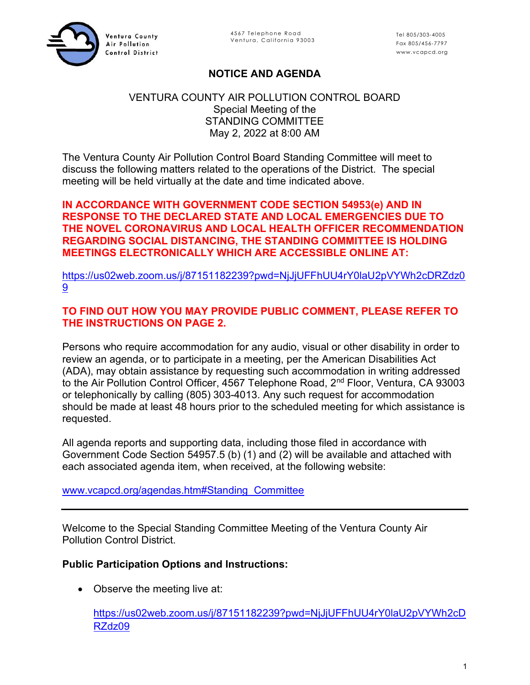

4567 Telephone Road<br>Ventura, California 93003<br>**ICE AND AGENDA**<br> 4567 Telephone Road<br>Ventura, California 93003<br>
Fax 805/456-7797<br>
www.vcapcd.org<br>
ICE AND AGENDA Tel 805/303-4005 Fax 805/456-7797 www.vcapcd.org

# NOTICE AND AGENDA

### VENTURA COUNTY AIR POLLUTION CONTROL BOARD Special Meeting of the STANDING COMMITTEE May 2, 2022 at 8:00 AM

The Ventura County Air Pollution Control Board Standing Committee will meet to discuss the following matters related to the operations of the District. The special meeting will be held virtually at the date and time indicated above.

### IN ACCORDANCE WITH GOVERNMENT CODE SECTION 54953(e) AND IN RESPONSE TO THE DECLARED STATE AND LOCAL EMERGENCIES DUE TO THE NOVEL CORONAVIRUS AND LOCAL HEALTH OFFICER RECOMMENDATION REGARDING SOCIAL DISTANCING, THE STANDING COMMITTEE IS HOLDING MEETINGS ELECTRONICALLY WHICH ARE ACCESSIBLE ONLINE AT:

https://us02web.zoom.us/j/87151182239?pwd=NjJjUFFhUU4rY0laU2pVYWh2cDRZdz0 9

## TO FIND OUT HOW YOU MAY PROVIDE PUBLIC COMMENT, PLEASE REFER TO THE INSTRUCTIONS ON PAGE 2.

Persons who require accommodation for any audio, visual or other disability in order to review an agenda, or to participate in a meeting, per the American Disabilities Act (ADA), may obtain assistance by requesting such accommodation in writing addressed to the Air Pollution Control Officer, 4567 Telephone Road, 2<sup>nd</sup> Floor, Ventura, CA 93003 or telephonically by calling (805) 303-4013. Any such request for accommodation should be made at least 48 hours prior to the scheduled meeting for which assistance is requested.

All agenda reports and supporting data, including those filed in accordance with Government Code Section 54957.5 (b) (1) and (2) will be available and attached with each associated agenda item, when received, at the following website:

www.vcapcd.org/agendas.htm#Standing\_Committee

Welcome to the Special Standing Committee Meeting of the Ventura County Air Pollution Control District.

#### Public Participation Options and Instructions:

• Observe the meeting live at:

https://us02web.zoom.us/j/87151182239?pwd=NjJjUFFhUU4rY0laU2pVYWh2cD RZdz09